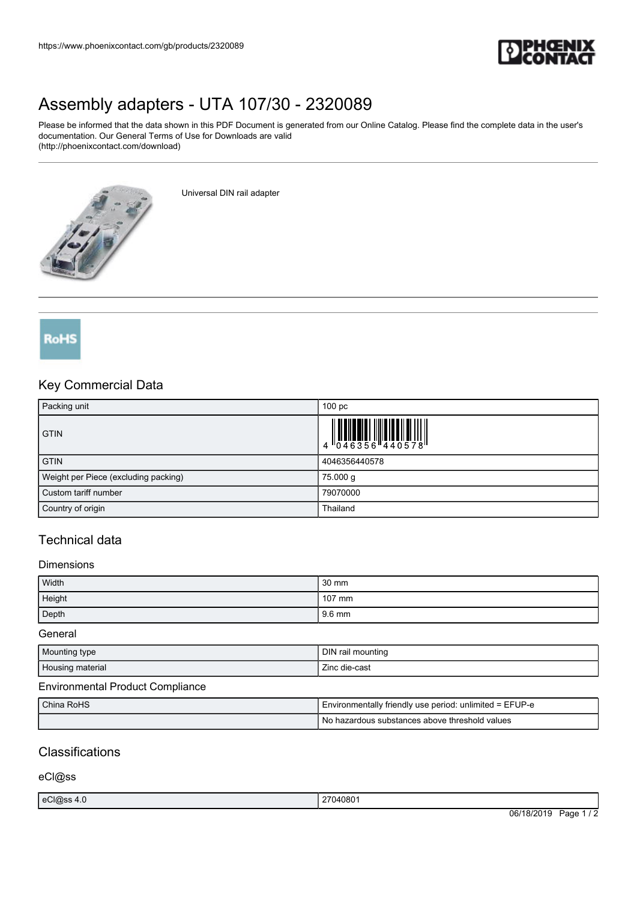

# [Assembly adapters - UTA 107/30 - 2320089](https://www.phoenixcontact.com/gb/products/2320089)

Please be informed that the data shown in this PDF Document is generated from our Online Catalog. Please find the complete data in the user's documentation. Our General Terms of Use for Downloads are valid (http://phoenixcontact.com/download)

가게

Universal DIN rail adapter



## Key Commercial Data

| Packing unit                         | 100 <sub>pc</sub>                                                         |
|--------------------------------------|---------------------------------------------------------------------------|
| <b>GTIN</b>                          | $\begin{array}{c} 1 & 0 & 0 & 0 \\ 0 & 0 & 4 & 6 & 3 & 5 & 6 \end{array}$ |
| <b>GTIN</b>                          | 4046356440578                                                             |
| Weight per Piece (excluding packing) | 75.000 g                                                                  |
| Custom tariff number                 | 79070000                                                                  |
| Country of origin                    | Thailand                                                                  |

# Technical data

#### **Dimensions**

| Width  | $30 \text{ mm}$ |
|--------|-----------------|
| Height | 107 mm          |
| Depth  | 9.6 mm          |

General

| Mounting type    | DIN<br>' rail mounting |
|------------------|------------------------|
| Housing material | --<br>Zinc die-cast    |

#### Environmental Product Compliance

| China RoHS | I Environmentally friendly use period: unlimited = EFUP-e |
|------------|-----------------------------------------------------------|
|            | No hazardous substances above threshold values            |

## **Classifications**

eCl@ss

| eCl@ss 4.0 | 040801<br>$\sim$<br>.                                                |                          |
|------------|----------------------------------------------------------------------|--------------------------|
|            | 06/<br>/18/2019<br>Page<br>$\sim$ $\sim$ $\sim$ $\sim$ $\sim$ $\sim$ | $\overline{\phantom{a}}$ |